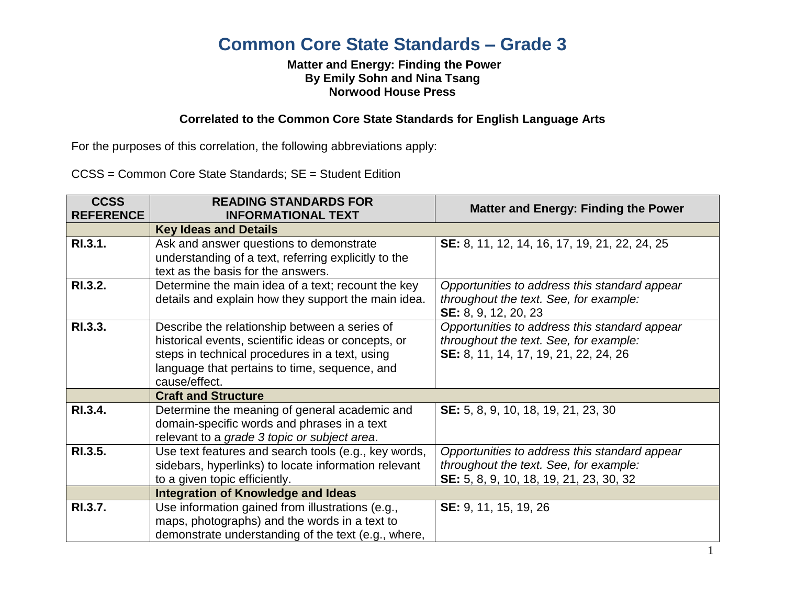# **Common Core State Standards – Grade 3**

## **Matter and Energy: Finding the Power By Emily Sohn and Nina Tsang Norwood House Press**

## **Correlated to the Common Core State Standards for English Language Arts**

For the purposes of this correlation, the following abbreviations apply:

CCSS = Common Core State Standards; SE = Student Edition

| <b>CCSS</b><br><b>REFERENCE</b> | <b>READING STANDARDS FOR</b><br><b>INFORMATIONAL TEXT</b>                                       | <b>Matter and Energy: Finding the Power</b>   |
|---------------------------------|-------------------------------------------------------------------------------------------------|-----------------------------------------------|
|                                 | <b>Key Ideas and Details</b>                                                                    |                                               |
| RI.3.1.                         | Ask and answer questions to demonstrate<br>understanding of a text, referring explicitly to the | SE: 8, 11, 12, 14, 16, 17, 19, 21, 22, 24, 25 |
|                                 | text as the basis for the answers.                                                              |                                               |
| RI.3.2.                         | Determine the main idea of a text; recount the key                                              | Opportunities to address this standard appear |
|                                 | details and explain how they support the main idea.                                             | throughout the text. See, for example:        |
|                                 |                                                                                                 | SE: 8, 9, 12, 20, 23                          |
| RI.3.3.                         | Describe the relationship between a series of                                                   | Opportunities to address this standard appear |
|                                 | historical events, scientific ideas or concepts, or                                             | throughout the text. See, for example:        |
|                                 | steps in technical procedures in a text, using                                                  | SE: 8, 11, 14, 17, 19, 21, 22, 24, 26         |
|                                 | language that pertains to time, sequence, and                                                   |                                               |
|                                 | cause/effect.                                                                                   |                                               |
|                                 | <b>Craft and Structure</b>                                                                      |                                               |
| RI.3.4.                         | Determine the meaning of general academic and                                                   | SE: 5, 8, 9, 10, 18, 19, 21, 23, 30           |
|                                 | domain-specific words and phrases in a text                                                     |                                               |
|                                 | relevant to a grade 3 topic or subject area.                                                    |                                               |
| RI.3.5.                         | Use text features and search tools (e.g., key words,                                            | Opportunities to address this standard appear |
|                                 | sidebars, hyperlinks) to locate information relevant                                            | throughout the text. See, for example:        |
|                                 | to a given topic efficiently.                                                                   | SE: 5, 8, 9, 10, 18, 19, 21, 23, 30, 32       |
|                                 | <b>Integration of Knowledge and Ideas</b>                                                       |                                               |
| RI.3.7.                         | Use information gained from illustrations (e.g.,                                                | SE: 9, 11, 15, 19, 26                         |
|                                 | maps, photographs) and the words in a text to                                                   |                                               |
|                                 | demonstrate understanding of the text (e.g., where,                                             |                                               |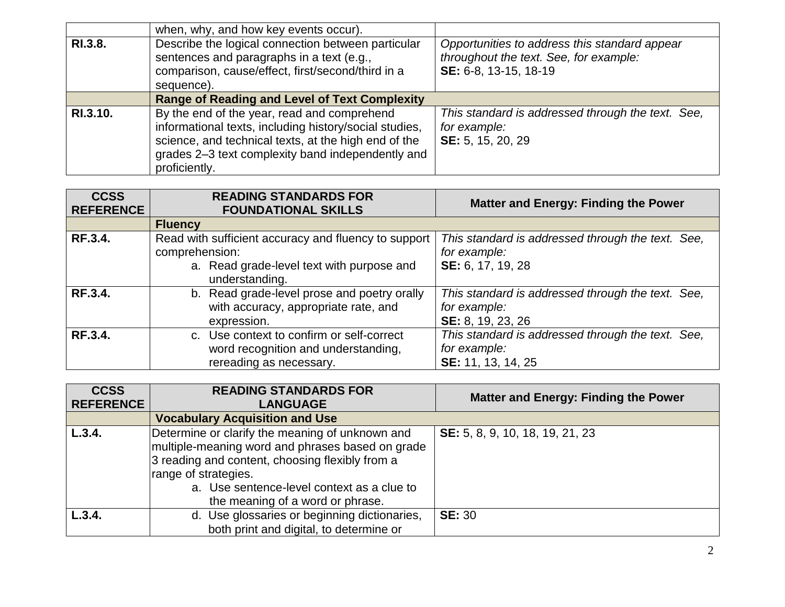|          | when, why, and how key events occur).                                                                                                                                                                                               |                                                                                                                  |
|----------|-------------------------------------------------------------------------------------------------------------------------------------------------------------------------------------------------------------------------------------|------------------------------------------------------------------------------------------------------------------|
| RI.3.8.  | Describe the logical connection between particular<br>sentences and paragraphs in a text (e.g.,<br>comparison, cause/effect, first/second/third in a<br>sequence).                                                                  | Opportunities to address this standard appear<br>throughout the text. See, for example:<br>SE: 6-8, 13-15, 18-19 |
|          | <b>Range of Reading and Level of Text Complexity</b>                                                                                                                                                                                |                                                                                                                  |
| RI.3.10. | By the end of the year, read and comprehend<br>informational texts, including history/social studies,<br>science, and technical texts, at the high end of the<br>grades 2-3 text complexity band independently and<br>proficiently. | This standard is addressed through the text. See,<br>for example:<br>SE: 5, 15, 20, 29                           |

| <b>CCSS</b><br><b>REFERENCE</b> | <b>READING STANDARDS FOR</b><br><b>FOUNDATIONAL SKILLS</b>                                                  | <b>Matter and Energy: Finding the Power</b>                                             |
|---------------------------------|-------------------------------------------------------------------------------------------------------------|-----------------------------------------------------------------------------------------|
|                                 | <b>Fluency</b>                                                                                              |                                                                                         |
| <b>RF.3.4.</b>                  | Read with sufficient accuracy and fluency to support<br>comprehension:                                      | This standard is addressed through the text. See,<br>for example:                       |
|                                 | a. Read grade-level text with purpose and<br>understanding.                                                 | SE: 6, 17, 19, 28                                                                       |
| RF.3.4.                         | b. Read grade-level prose and poetry orally<br>with accuracy, appropriate rate, and<br>expression.          | This standard is addressed through the text. See,<br>for example:<br>SE: 8, 19, 23, 26  |
| RF.3.4.                         | c. Use context to confirm or self-correct<br>word recognition and understanding,<br>rereading as necessary. | This standard is addressed through the text. See,<br>for example:<br>SE: 11, 13, 14, 25 |

| <b>CCSS</b><br><b>REFERENCE</b> | <b>READING STANDARDS FOR</b><br><b>LANGUAGE</b>                                                                                                                                                                                                                  | <b>Matter and Energy: Finding the Power</b> |
|---------------------------------|------------------------------------------------------------------------------------------------------------------------------------------------------------------------------------------------------------------------------------------------------------------|---------------------------------------------|
|                                 | <b>Vocabulary Acquisition and Use</b>                                                                                                                                                                                                                            |                                             |
| L.3.4.                          | Determine or clarify the meaning of unknown and<br>multiple-meaning word and phrases based on grade<br>3 reading and content, choosing flexibly from a<br>range of strategies.<br>a. Use sentence-level context as a clue to<br>the meaning of a word or phrase. | SE: 5, 8, 9, 10, 18, 19, 21, 23             |
| L.3.4.                          | d. Use glossaries or beginning dictionaries,<br>both print and digital, to determine or                                                                                                                                                                          | <b>SE: 30</b>                               |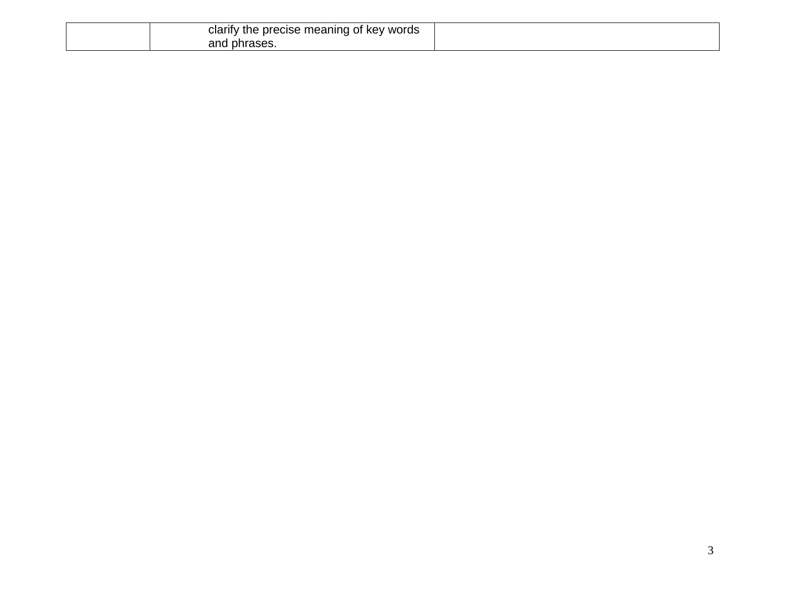| e precise meaning of key words<br><b>Clarity</b><br>v the |  |
|-----------------------------------------------------------|--|
| ' phrases.<br>and                                         |  |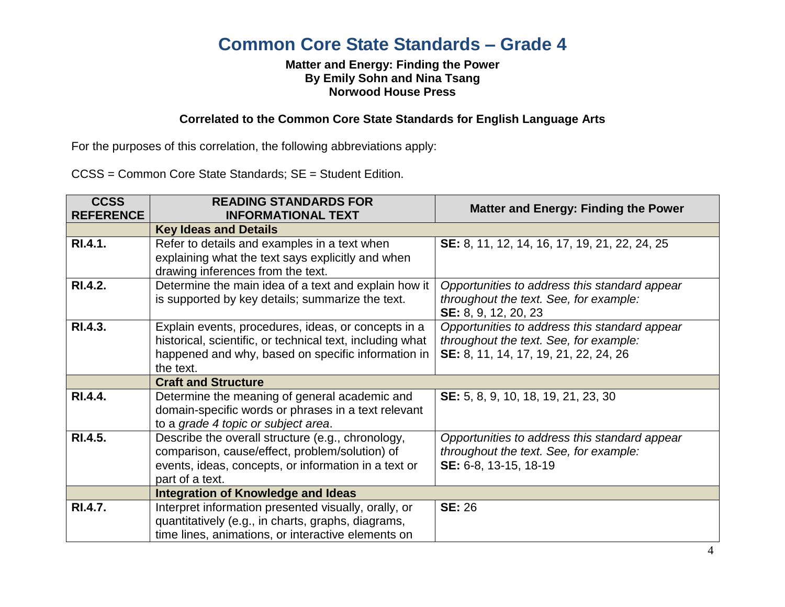# **Common Core State Standards – Grade 4**

#### **Matter and Energy: Finding the Power By Emily Sohn and Nina Tsang Norwood House Press**

### **Correlated to the Common Core State Standards for English Language Arts**

For the purposes of this correlation, the following abbreviations apply:

CCSS = Common Core State Standards; SE = Student Edition.

| <b>CCSS</b><br><b>REFERENCE</b> | <b>READING STANDARDS FOR</b><br><b>INFORMATIONAL TEXT</b>                                                                                                                           | <b>Matter and Energy: Finding the Power</b>                                                                                      |
|---------------------------------|-------------------------------------------------------------------------------------------------------------------------------------------------------------------------------------|----------------------------------------------------------------------------------------------------------------------------------|
|                                 | <b>Key Ideas and Details</b>                                                                                                                                                        |                                                                                                                                  |
| RI.4.1.                         | Refer to details and examples in a text when<br>explaining what the text says explicitly and when<br>drawing inferences from the text.                                              | SE: 8, 11, 12, 14, 16, 17, 19, 21, 22, 24, 25                                                                                    |
| RI.4.2.                         | Determine the main idea of a text and explain how it<br>is supported by key details; summarize the text.                                                                            | Opportunities to address this standard appear<br>throughout the text. See, for example:<br>SE: 8, 9, 12, 20, 23                  |
| RI.4.3.                         | Explain events, procedures, ideas, or concepts in a<br>historical, scientific, or technical text, including what<br>happened and why, based on specific information in<br>the text. | Opportunities to address this standard appear<br>throughout the text. See, for example:<br>SE: 8, 11, 14, 17, 19, 21, 22, 24, 26 |
|                                 | <b>Craft and Structure</b>                                                                                                                                                          |                                                                                                                                  |
| RI.4.4.                         | Determine the meaning of general academic and<br>domain-specific words or phrases in a text relevant<br>to a grade 4 topic or subject area.                                         | SE: 5, 8, 9, 10, 18, 19, 21, 23, 30                                                                                              |
| RI.4.5.                         | Describe the overall structure (e.g., chronology,<br>comparison, cause/effect, problem/solution) of<br>events, ideas, concepts, or information in a text or<br>part of a text.      | Opportunities to address this standard appear<br>throughout the text. See, for example:<br>SE: 6-8, 13-15, 18-19                 |
|                                 | <b>Integration of Knowledge and Ideas</b>                                                                                                                                           |                                                                                                                                  |
| RI.4.7.                         | Interpret information presented visually, orally, or<br>quantitatively (e.g., in charts, graphs, diagrams,<br>time lines, animations, or interactive elements on                    | <b>SE: 26</b>                                                                                                                    |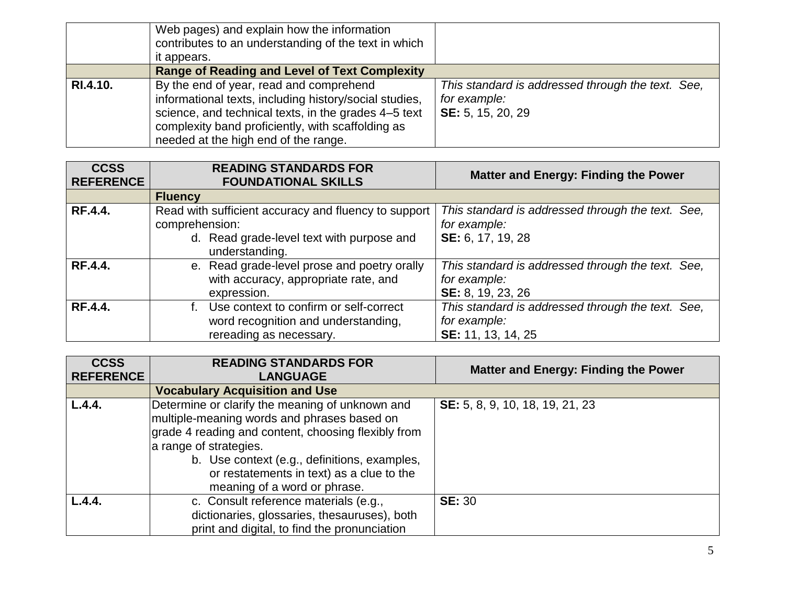|          | Web pages) and explain how the information<br>contributes to an understanding of the text in which<br>it appears.                                                                                                                                      |                                                                                        |
|----------|--------------------------------------------------------------------------------------------------------------------------------------------------------------------------------------------------------------------------------------------------------|----------------------------------------------------------------------------------------|
|          | <b>Range of Reading and Level of Text Complexity</b>                                                                                                                                                                                                   |                                                                                        |
| RI.4.10. | By the end of year, read and comprehend<br>informational texts, including history/social studies,<br>science, and technical texts, in the grades 4-5 text<br>complexity band proficiently, with scaffolding as<br>needed at the high end of the range. | This standard is addressed through the text. See,<br>for example:<br>SE: 5, 15, 20, 29 |

| <b>CCSS</b><br><b>REFERENCE</b> | <b>READING STANDARDS FOR</b><br><b>FOUNDATIONAL SKILLS</b>                                                                            | <b>Matter and Energy: Finding the Power</b>                                             |
|---------------------------------|---------------------------------------------------------------------------------------------------------------------------------------|-----------------------------------------------------------------------------------------|
|                                 | <b>Fluency</b>                                                                                                                        |                                                                                         |
| <b>RF.4.4.</b>                  | Read with sufficient accuracy and fluency to support<br>comprehension:<br>d. Read grade-level text with purpose and<br>understanding. | This standard is addressed through the text. See,<br>for example:<br>SE: 6, 17, 19, 28  |
| <b>RF.4.4.</b>                  | e. Read grade-level prose and poetry orally<br>with accuracy, appropriate rate, and<br>expression.                                    | This standard is addressed through the text. See,<br>for example:<br>SE: 8, 19, 23, 26  |
| <b>RF.4.4.</b>                  | Use context to confirm or self-correct<br>word recognition and understanding,<br>rereading as necessary.                              | This standard is addressed through the text. See,<br>for example:<br>SE: 11, 13, 14, 25 |

| <b>CCSS</b><br><b>REFERENCE</b> | <b>READING STANDARDS FOR</b><br><b>LANGUAGE</b>                                                                                                                                                                                                                                                              | <b>Matter and Energy: Finding the Power</b> |
|---------------------------------|--------------------------------------------------------------------------------------------------------------------------------------------------------------------------------------------------------------------------------------------------------------------------------------------------------------|---------------------------------------------|
|                                 | <b>Vocabulary Acquisition and Use</b>                                                                                                                                                                                                                                                                        |                                             |
| L.4.4.                          | Determine or clarify the meaning of unknown and<br>multiple-meaning words and phrases based on<br>grade 4 reading and content, choosing flexibly from<br>a range of strategies.<br>b. Use context (e.g., definitions, examples,<br>or restatements in text) as a clue to the<br>meaning of a word or phrase. | SE: 5, 8, 9, 10, 18, 19, 21, 23             |
| L.4.4.                          | c. Consult reference materials (e.g.,<br>dictionaries, glossaries, thesauruses), both<br>print and digital, to find the pronunciation                                                                                                                                                                        | <b>SE: 30</b>                               |